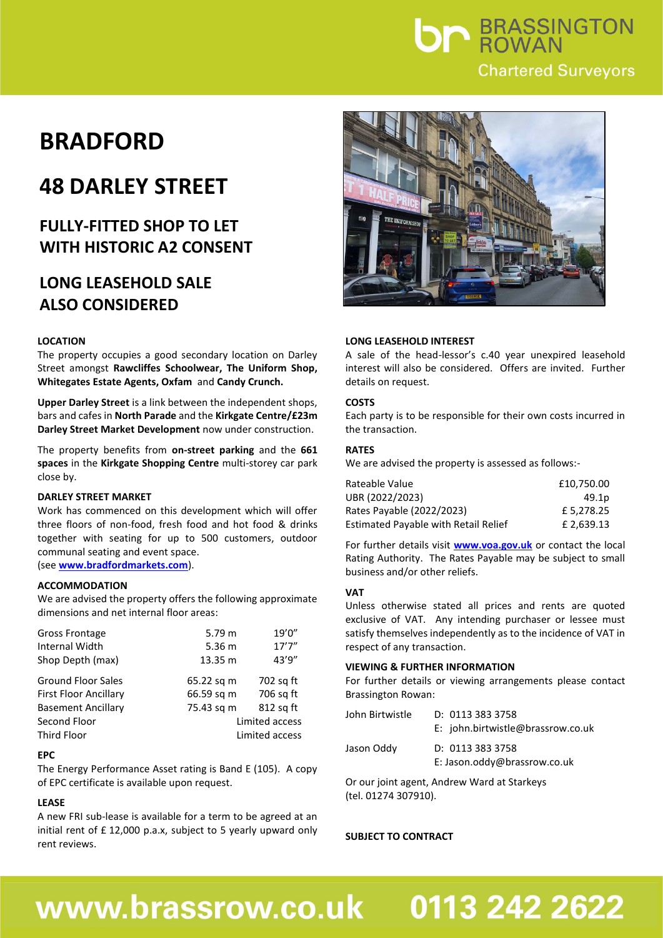

## **BRADFORD**

## **48 DARLEY STREET**

### **FULLY-FITTED SHOP TO LET WITH HISTORIC A2 CONSENT**

### **LONG LEASEHOLD SALE ALSO CONSIDERED**

#### **LOCATION**

The property occupies a good secondary location on Darley Street amongst **Rawcliffes Schoolwear, The Uniform Shop, Whitegates Estate Agents, Oxfam** and **Candy Crunch.**

**Upper Darley Street** is a link between the independent shops, bars and cafes in **North Parade** and the **Kirkgate Centre/£23m Darley Street Market Development** now under construction.

The property benefits from **on-street parking** and the **661 spaces** in the **Kirkgate Shopping Centre** multi-storey car park close by.

#### **DARLEY STREET MARKET**

Work has commenced on this development which will offer three floors of non-food, fresh food and hot food & drinks together with seating for up to 500 customers, outdoor communal seating and event space. (see **<www.bradfordmarkets.com>**).

#### **ACCOMMODATION**

We are advised the property offers the following approximate dimensions and net internal floor areas:

| Gross Frontage<br><b>Internal Width</b><br>Shop Depth (max) | 5.79 m<br>5.36 <sub>m</sub><br>13.35 m | 19'0"<br>17'7''<br>43'9" |
|-------------------------------------------------------------|----------------------------------------|--------------------------|
| <b>Ground Floor Sales</b>                                   | 65.22 sq m                             | 702 sq ft                |
| <b>First Floor Ancillary</b>                                | 66.59 sq m                             | 706 sq ft                |
| <b>Basement Ancillary</b>                                   | 75.43 sq m                             | 812 sq ft                |
| Second Floor                                                |                                        | Limited access           |
| Third Floor                                                 | Limited access                         |                          |

#### **EPC**

The Energy Performance Asset rating is Band E (105). A copy of EPC certificate is available upon request.

#### **LEASE**

A new FRI sub-lease is available for a term to be agreed at an initial rent of £ 12,000 p.a.x, subject to 5 yearly upward only rent reviews.



#### **LONG LEASEHOLD INTEREST**

A sale of the head-lessor's c.40 year unexpired leasehold interest will also be considered. Offers are invited. Further details on request.

#### **COSTS**

Each party is to be responsible for their own costs incurred in the transaction.

#### **RATES**

We are advised the property is assessed as follows:-

| Rateable Value                              | £10.750.00 |
|---------------------------------------------|------------|
| UBR (2022/2023)                             | 49.1p      |
| Rates Payable (2022/2023)                   | £5.278.25  |
| <b>Estimated Payable with Retail Relief</b> | £ 2.639.13 |

For further details visit **[www.voa.gov.uk](http://www.voa.gov.uk/)** or contact the local Rating Authority. The Rates Payable may be subject to small business and/or other reliefs.

#### **VAT**

Unless otherwise stated all prices and rents are quoted exclusive of VAT. Any intending purchaser or lessee must satisfy themselves independently as to the incidence of VAT in respect of any transaction.

#### **VIEWING & FURTHER INFORMATION**

For further details or viewing arrangements please contact Brassington Rowan:

| John Birtwistle | D: 0113 383 3758<br>E: john.birtwistle@brassrow.co.uk |
|-----------------|-------------------------------------------------------|
| Jason Oddy      | D: 0113 383 3758<br>E: Jason.oddy@brassrow.co.uk      |

Or our joint agent, Andrew Ward at Starkeys (tel. 01274 307910).

#### **SUBJECT TO CONTRACT**

# www.brassrow.co.uk

# 0113 242 2622